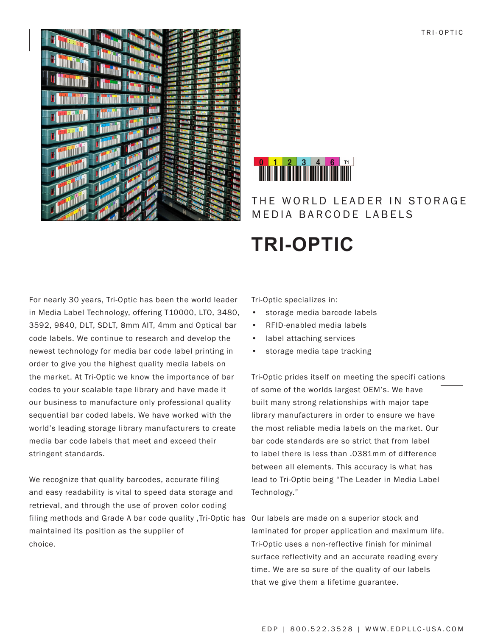TRI-OPTIC





## THE WORLD LEADER IN STORAGE MEDIA BARCODE LABELS

# **TRI-OPTIC**

For nearly 30 years, Tri-Optic has been the world leader in Media Label Technology, offering T10000, LTO, 3480, 3592, 9840, DLT, SDLT, 8mm AIT, 4mm and Optical bar code labels. We continue to research and develop the newest technology for media bar code label printing in order to give you the highest quality media labels on the market. At Tri-Optic we know the importance of bar codes to your scalable tape library and have made it our business to manufacture only professional quality sequential bar coded labels. We have worked with the world's leading storage library manufacturers to create media bar code labels that meet and exceed their stringent standards.

We recognize that quality barcodes, accurate filing and easy readability is vital to speed data storage and retrieval, and through the use of proven color coding filing methods and Grade A bar code quality ,Tri-Optic has Our labels are made on a superior stock and maintained its position as the supplier of choice.

Tri-Optic specializes in:

- • storage media barcode labels
- • RFID-enabled media labels
- label attaching services
- • storage media tape tracking

Tri-Optic prides itself on meeting the specifi cations of some of the worlds largest OEM's. We have built many strong relationships with major tape library manufacturers in order to ensure we have the most reliable media labels on the market. Our bar code standards are so strict that from label to label there is less than .0381mm of difference between all elements. This accuracy is what has lead to Tri-Optic being "The Leader in Media Label Technology."

laminated for proper application and maximum life. Tri-Optic uses a non-reflective finish for minimal surface reflectivity and an accurate reading every time. We are so sure of the quality of our labels that we give them a lifetime guarantee.